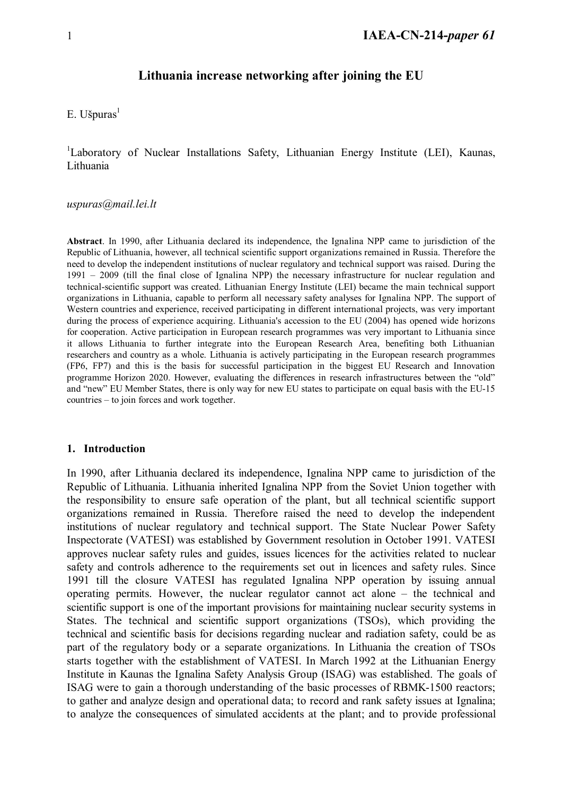### **Lithuania increase networking after joining the EU**

# E. Ušpuras $<sup>1</sup>$ </sup>

<sup>1</sup>Laboratory of Nuclear Installations Safety, Lithuanian Energy Institute (LEI), Kaunas, Lithuania

#### *uspuras@mail.lei.lt*

**Abstract**. In 1990, after Lithuania declared its independence, the Ignalina NPP came to jurisdiction of the Republic of Lithuania, however, all technical scientific support organizations remained in Russia. Therefore the need to develop the independent institutions of nuclear regulatory and technical support was raised. During the 1991 – 2009 (till the final close of Ignalina NPP) the necessary infrastructure for nuclear regulation and technical-scientific support was created. Lithuanian Energy Institute (LEI) became the main technical support organizations in Lithuania, capable to perform all necessary safety analyses for Ignalina NPP. The support of Western countries and experience, received participating in different international projects, was very important during the process of experience acquiring. Lithuania's accession to the EU (2004) has opened wide horizons for cooperation. Active participation in European research programmes was very important to Lithuania since it allows Lithuania to further integrate into the European Research Area, benefiting both Lithuanian researchers and country as a whole. Lithuania is actively participating in the European research programmes (FP6, FP7) and this is the basis for successful participation in the biggest EU Research and Innovation programme Horizon 2020. However, evaluating the differences in research infrastructures between the "old" and "new" EU Member States, there is only way for new EU states to participate on equal basis with the EU-15 countries – to join forces and work together.

#### **1. Introduction**

In 1990, after Lithuania declared its independence, Ignalina NPP came to jurisdiction of the Republic of Lithuania. Lithuania inherited Ignalina NPP from the Soviet Union together with the responsibility to ensure safe operation of the plant, but all technical scientific support organizations remained in Russia. Therefore raised the need to develop the independent institutions of nuclear regulatory and technical support. The State Nuclear Power Safety Inspectorate (VATESI) was established by Government resolution in October 1991. VATESI approves nuclear safety rules and guides, issues licences for the activities related to nuclear safety and controls adherence to the requirements set out in licences and safety rules. Since 1991 till the closure VATESI has regulated Ignalina NPP operation by issuing annual operating permits. However, the nuclear regulator cannot act alone – the technical and scientific support is one of the important provisions for maintaining nuclear security systems in States. The technical and scientific support organizations (TSOs), which providing the technical and scientific basis for decisions regarding nuclear and radiation safety, could be as part of the regulatory body or a separate organizations. In Lithuania the creation of TSOs starts together with the establishment of VATESI. In March 1992 at the Lithuanian Energy Institute in Kaunas the Ignalina Safety Analysis Group (ISAG) was established. The goals of ISAG were to gain a thorough understanding of the basic processes of RBMK-1500 reactors; to gather and analyze design and operational data; to record and rank safety issues at Ignalina; to analyze the consequences of simulated accidents at the plant; and to provide professional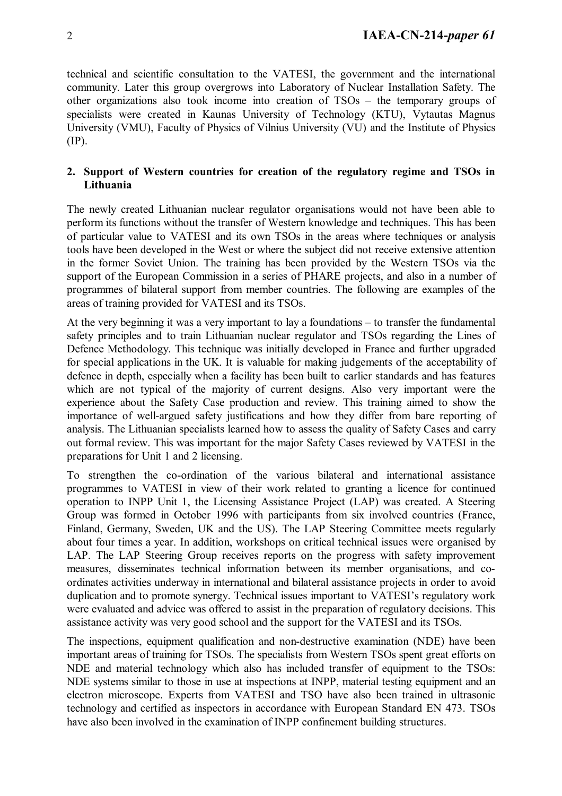technical and scientific consultation to the VATESI, the government and the international community. Later this group overgrows into Laboratory of Nuclear Installation Safety. The other organizations also took income into creation of TSOs – the temporary groups of specialists were created in Kaunas University of Technology (KTU), Vytautas Magnus University (VMU), Faculty of Physics of Vilnius University (VU) and the Institute of Physics (IP).

### **2. Support of Western countries for creation of the regulatory regime and TSOs in Lithuania**

The newly created Lithuanian nuclear regulator organisations would not have been able to perform its functions without the transfer of Western knowledge and techniques. This has been of particular value to VATESI and its own TSOs in the areas where techniques or analysis tools have been developed in the West or where the subject did not receive extensive attention in the former Soviet Union. The training has been provided by the Western TSOs via the support of the European Commission in a series of PHARE projects, and also in a number of programmes of bilateral support from member countries. The following are examples of the areas of training provided for VATESI and its TSOs.

At the very beginning it was a very important to lay a foundations – to transfer the fundamental safety principles and to train Lithuanian nuclear regulator and TSOs regarding the Lines of Defence Methodology. This technique was initially developed in France and further upgraded for special applications in the UK. It is valuable for making judgements of the acceptability of defence in depth, especially when a facility has been built to earlier standards and has features which are not typical of the majority of current designs. Also very important were the experience about the Safety Case production and review. This training aimed to show the importance of well-argued safety justifications and how they differ from bare reporting of analysis. The Lithuanian specialists learned how to assess the quality of Safety Cases and carry out formal review. This was important for the major Safety Cases reviewed by VATESI in the preparations for Unit 1 and 2 licensing.

To strengthen the co-ordination of the various bilateral and international assistance programmes to VATESI in view of their work related to granting a licence for continued operation to INPP Unit 1, the Licensing Assistance Project (LAP) was created. A Steering Group was formed in October 1996 with participants from six involved countries (France, Finland, Germany, Sweden, UK and the US). The LAP Steering Committee meets regularly about four times a year. In addition, workshops on critical technical issues were organised by LAP. The LAP Steering Group receives reports on the progress with safety improvement measures, disseminates technical information between its member organisations, and coordinates activities underway in international and bilateral assistance projects in order to avoid duplication and to promote synergy. Technical issues important to VATESI's regulatory work were evaluated and advice was offered to assist in the preparation of regulatory decisions. This assistance activity was very good school and the support for the VATESI and its TSOs.

The inspections, equipment qualification and non-destructive examination (NDE) have been important areas of training for TSOs. The specialists from Western TSOs spent great efforts on NDE and material technology which also has included transfer of equipment to the TSOs: NDE systems similar to those in use at inspections at INPP, material testing equipment and an electron microscope. Experts from VATESI and TSO have also been trained in ultrasonic technology and certified as inspectors in accordance with European Standard EN 473. TSOs have also been involved in the examination of INPP confinement building structures.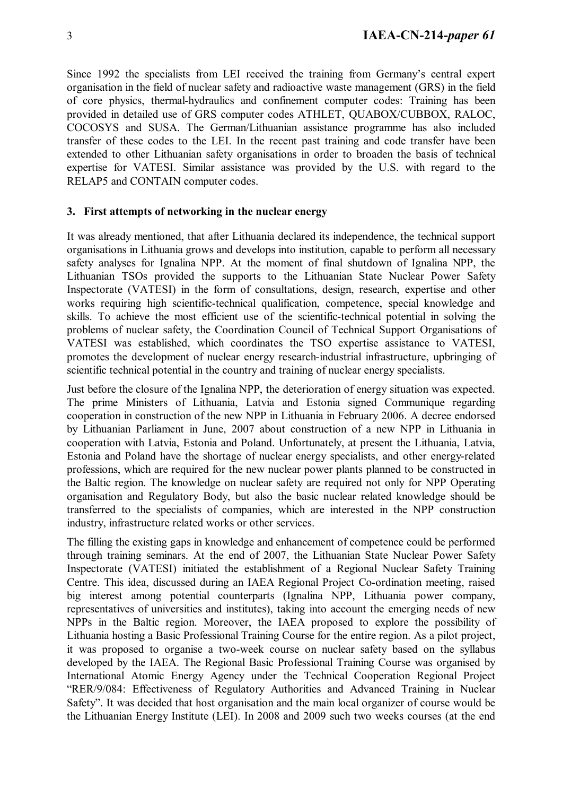Since 1992 the specialists from LEI received the training from Germany's central expert organisation in the field of nuclear safety and radioactive waste management (GRS) in the field of core physics, thermal-hydraulics and confinement computer codes: Training has been provided in detailed use of GRS computer codes ATHLET, QUABOX/CUBBOX, RALOC, COCOSYS and SUSA. The German/Lithuanian assistance programme has also included transfer of these codes to the LEI. In the recent past training and code transfer have been extended to other Lithuanian safety organisations in order to broaden the basis of technical expertise for VATESI. Similar assistance was provided by the U.S. with regard to the RELAP5 and CONTAIN computer codes.

#### **3. First attempts of networking in the nuclear energy**

It was already mentioned, that after Lithuania declared its independence, the technical support organisations in Lithuania grows and develops into institution, capable to perform all necessary safety analyses for Ignalina NPP. At the moment of final shutdown of Ignalina NPP, the Lithuanian TSOs provided the supports to the Lithuanian State Nuclear Power Safety Inspectorate (VATESI) in the form of consultations, design, research, expertise and other works requiring high scientific-technical qualification, competence, special knowledge and skills. To achieve the most efficient use of the scientific-technical potential in solving the problems of nuclear safety, the Coordination Council of Technical Support Organisations of VATESI was established, which coordinates the TSO expertise assistance to VATESI, promotes the development of nuclear energy research-industrial infrastructure, upbringing of scientific technical potential in the country and training of nuclear energy specialists.

Just before the closure of the Ignalina NPP, the deterioration of energy situation was expected. The prime Ministers of Lithuania, Latvia and Estonia signed Communique regarding cooperation in construction of the new NPP in Lithuania in February 2006. A decree endorsed by Lithuanian Parliament in June, 2007 about construction of a new NPP in Lithuania in cooperation with Latvia, Estonia and Poland. Unfortunately, at present the Lithuania, Latvia, Estonia and Poland have the shortage of nuclear energy specialists, and other energy-related professions, which are required for the new nuclear power plants planned to be constructed in the Baltic region. The knowledge on nuclear safety are required not only for NPP Operating organisation and Regulatory Body, but also the basic nuclear related knowledge should be transferred to the specialists of companies, which are interested in the NPP construction industry, infrastructure related works or other services.

The filling the existing gaps in knowledge and enhancement of competence could be performed through training seminars. At the end of 2007, the Lithuanian State Nuclear Power Safety Inspectorate (VATESI) initiated the establishment of a Regional Nuclear Safety Training Centre. This idea, discussed during an IAEA Regional Project Co-ordination meeting, raised big interest among potential counterparts (Ignalina NPP, Lithuania power company, representatives of universities and institutes), taking into account the emerging needs of new NPPs in the Baltic region. Moreover, the IAEA proposed to explore the possibility of Lithuania hosting a Basic Professional Training Course for the entire region. As a pilot project, it was proposed to organise a two-week course on nuclear safety based on the syllabus developed by the IAEA. The Regional Basic Professional Training Course was organised by International Atomic Energy Agency under the Technical Cooperation Regional Project "RER/9/084: Effectiveness of Regulatory Authorities and Advanced Training in Nuclear Safety". It was decided that host organisation and the main local organizer of course would be the Lithuanian Energy Institute (LEI). In 2008 and 2009 such two weeks courses (at the end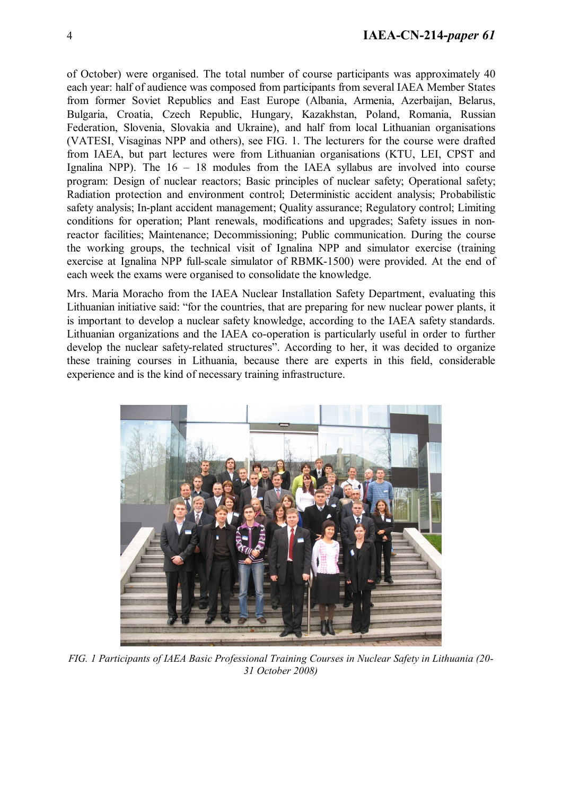of October) were organised. The total number of course participants was approximately 40 each year: half of audience was composed from participants from several IAEA Member States from former Soviet Republics and East Europe (Albania, Armenia, Azerbaijan, Belarus, Bulgaria, Croatia, Czech Republic, Hungary, Kazakhstan, Poland, Romania, Russian Federation, Slovenia, Slovakia and Ukraine), and half from local Lithuanian organisations (VATESI, Visaginas NPP and others), see FIG. 1. The lecturers for the course were drafted from IAEA, but part lectures were from Lithuanian organisations (KTU, LEI, CPST and Ignalina NPP). The  $16 - 18$  modules from the IAEA syllabus are involved into course program: Design of nuclear reactors; Basic principles of nuclear safety; Operational safety; Radiation protection and environment control; Deterministic accident analysis; Probabilistic safety analysis; In-plant accident management; Quality assurance; Regulatory control; Limiting conditions for operation; Plant renewals, modifications and upgrades; Safety issues in nonreactor facilities; Maintenance; Decommissioning; Public communication. During the course the working groups, the technical visit of Ignalina NPP and simulator exercise (training exercise at Ignalina NPP full-scale simulator of RBMK-1500) were provided. At the end of each week the exams were organised to consolidate the knowledge.

Mrs. Maria Moracho from the IAEA Nuclear Installation Safety Department, evaluating this Lithuanian initiative said: "for the countries, that are preparing for new nuclear power plants, it is important to develop a nuclear safety knowledge, according to the IAEA safety standards. Lithuanian organizations and the IAEA co-operation is particularly useful in order to further develop the nuclear safety-related structures". According to her, it was decided to organize these training courses in Lithuania, because there are experts in this field, considerable experience and is the kind of necessary training infrastructure.



*FIG. 1 Participants of IAEA Basic Professional Training Courses in Nuclear Safety in Lithuania (20- 31 October 2008)*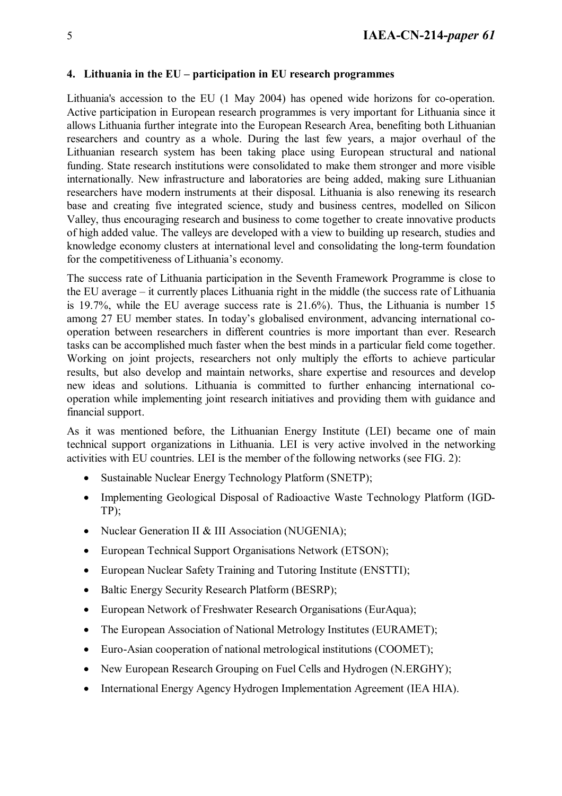### **4. Lithuania in the EU – participation in EU research programmes**

Lithuania's accession to the EU (1 May 2004) has opened wide horizons for co-operation. Active participation in European research programmes is very important for Lithuania since it allows Lithuania further integrate into the European Research Area, benefiting both Lithuanian researchers and country as a whole. During the last few years, a major overhaul of the Lithuanian research system has been taking place using European structural and national funding. State research institutions were consolidated to make them stronger and more visible internationally. New infrastructure and laboratories are being added, making sure Lithuanian researchers have modern instruments at their disposal. Lithuania is also renewing its research base and creating five integrated science, study and business centres, modelled on Silicon Valley, thus encouraging research and business to come together to create innovative products of high added value. The valleys are developed with a view to building up research, studies and knowledge economy clusters at international level and consolidating the long-term foundation for the competitiveness of Lithuania's economy.

The success rate of Lithuania participation in the Seventh Framework Programme is close to the EU average – it currently places Lithuania right in the middle (the success rate of Lithuania is 19.7%, while the EU average success rate is 21.6%). Thus, the Lithuania is number 15 among 27 EU member states. In today's globalised environment, advancing international cooperation between researchers in different countries is more important than ever. Research tasks can be accomplished much faster when the best minds in a particular field come together. Working on joint projects, researchers not only multiply the efforts to achieve particular results, but also develop and maintain networks, share expertise and resources and develop new ideas and solutions. Lithuania is committed to further enhancing international cooperation while implementing joint research initiatives and providing them with guidance and financial support.

As it was mentioned before, the Lithuanian Energy Institute (LEI) became one of main technical support organizations in Lithuania. LEI is very active involved in the networking activities with EU countries. LEI is the member of the following networks (see FIG. 2):

- Sustainable Nuclear Energy Technology Platform (SNETP);
- Implementing Geological Disposal of Radioactive Waste Technology Platform (IGD- $TP$ ;
- Nuclear Generation II & III Association (NUGENIA);
- European Technical Support Organisations Network (ETSON);
- European Nuclear Safety Training and Tutoring Institute (ENSTTI);
- Baltic Energy Security Research Platform (BESRP):
- European Network of Freshwater Research Organisations (EurAqua);
- The European Association of National Metrology Institutes (EURAMET);
- Euro-Asian cooperation of national metrological institutions (COOMET);
- New European Research Grouping on Fuel Cells and Hydrogen (N.ERGHY);
- International Energy Agency Hydrogen Implementation Agreement (IEA HIA).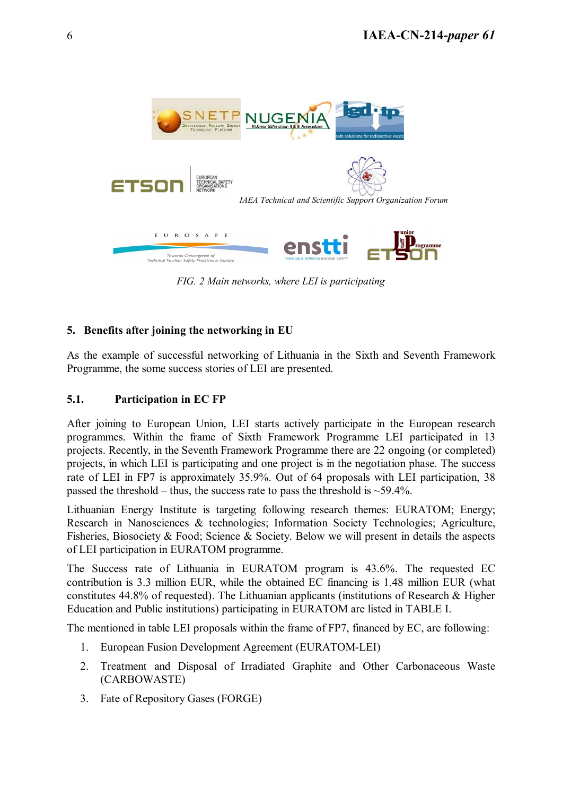

*FIG. 2 Main networks, where LEI is participating* 

# **5. Benefits after joining the networking in EU**

As the example of successful networking of Lithuania in the Sixth and Seventh Framework Programme, the some success stories of LEI are presented.

# **5.1. Participation in EC FP**

After joining to European Union, LEI starts actively participate in the European research programmes. Within the frame of Sixth Framework Programme LEI participated in 13 projects. Recently, in the Seventh Framework Programme there are 22 ongoing (or completed) projects, in which LEI is participating and one project is in the negotiation phase. The success rate of LEI in FP7 is approximately 35.9%. Out of 64 proposals with LEI participation, 38 passed the threshold – thus, the success rate to pass the threshold is  $\sim$  59.4%.

Lithuanian Energy Institute is targeting following research themes: EURATOM; Energy; Research in Nanosciences & technologies; Information Society Technologies; Agriculture, Fisheries, Biosociety & Food; Science & Society. Below we will present in details the aspects of LEI participation in EURATOM programme.

The Success rate of Lithuania in EURATOM program is 43.6%. The requested EC contribution is 3.3 million EUR, while the obtained EC financing is 1.48 million EUR (what constitutes 44.8% of requested). The Lithuanian applicants (institutions of Research & Higher Education and Public institutions) participating in EURATOM are listed in TABLE I.

The mentioned in table LEI proposals within the frame of FP7, financed by EC, are following:

- 1. European Fusion Development Agreement (EURATOM-LEI)
- 2. Treatment and Disposal of Irradiated Graphite and Other Carbonaceous Waste (CARBOWASTE)
- 3. Fate of Repository Gases (FORGE)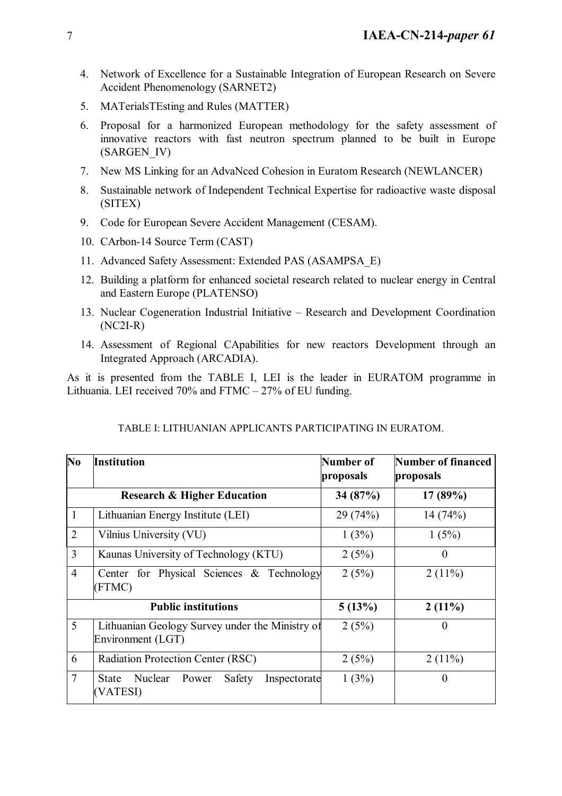- 4. Network of Excellence for a Sustainable Integration of European Research on Severe Accident Phenomenology (SARNET2)
- 5. MATerialsTEsting and Rules (MATTER)
- 6. Proposal for a harmonized European methodology for the safety assessment of innovative reactors with fast neutron spectrum planned to be built in Europe (SARGEN\_IV)
- 7. New MS Linking for an AdvaNced Cohesion in Euratom Research (NEWLANCER)
- 8. Sustainable network of Independent Technical Expertise for radioactive waste disposal (SITEX)
- 9. Code for European Severe Accident Management (CESAM).
- 10. CArbon-14 Source Term (CAST)
- 11. Advanced Safety Assessment: Extended PAS (ASAMPSA\_E)
- 12. Building a platform for enhanced societal research related to nuclear energy in Central and Eastern Europe (PLATENSO)
- 13. Nuclear Cogeneration Industrial Initiative Research and Development Coordination  $(NC2I-R)$
- 14. Assessment of Regional CApabilities for new reactors Development through an Integrated Approach (ARCADIA).

As it is presented from the TABLE I, LEI is the leader in EURATOM programme in Lithuania. LEI received 70% and FTMC – 27% of EU funding.

| N <sub>0</sub>             | <b>Institution</b>                                                   | Number of<br>proposals | Number of financed<br>proposals |
|----------------------------|----------------------------------------------------------------------|------------------------|---------------------------------|
|                            | <b>Research &amp; Higher Education</b>                               | 34 $(87%)$             | 17(89%)                         |
| $\mathbf{1}$               | Lithuanian Energy Institute (LEI)                                    | 29 (74%)               | 14(74%)                         |
| $\overline{2}$             | Vilnius University (VU)                                              | 1(3%)                  | 1(5%)                           |
| 3                          | Kaunas University of Technology (KTU)                                | 2(5%)                  | $\theta$                        |
| $\overline{4}$             | Center for Physical Sciences & Technology<br>(FTMC)                  | 2(5%)                  | $2(11\%)$                       |
| <b>Public institutions</b> |                                                                      | 5(13%)                 | $2(11\%)$                       |
| 5                          | Lithuanian Geology Survey under the Ministry of<br>Environment (LGT) | 2(5%)                  | $\Omega$                        |
| 6                          | Radiation Protection Center (RSC)                                    | 2(5%)                  | $2(11\%)$                       |
| $\tau$                     | Nuclear Power<br>Safety<br>Inspectorate<br>State<br><b>VATESI)</b>   | 1(3%)                  | $\theta$                        |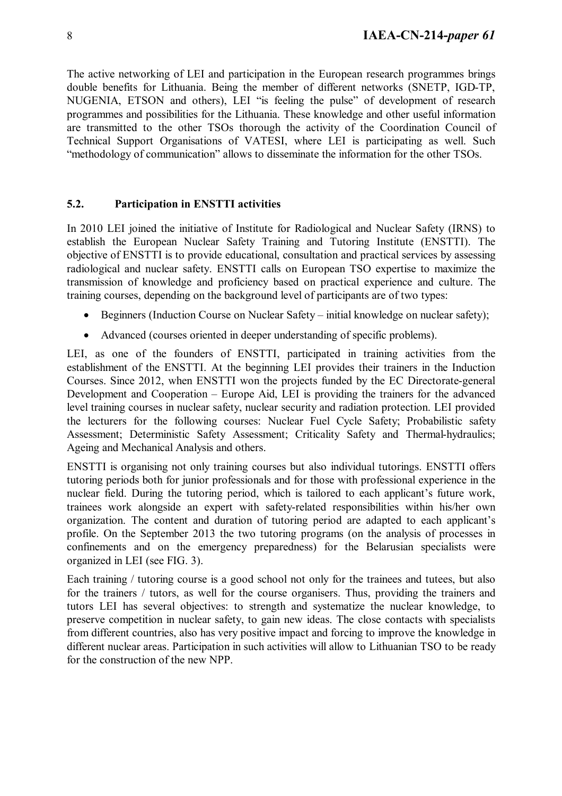The active networking of LEI and participation in the European research programmes brings double benefits for Lithuania. Being the member of different networks (SNETP, IGD-TP, NUGENIA, ETSON and others), LEI "is feeling the pulse" of development of research programmes and possibilities for the Lithuania. These knowledge and other useful information are transmitted to the other TSOs thorough the activity of the Coordination Council of Technical Support Organisations of VATESI, where LEI is participating as well. Such "methodology of communication" allows to disseminate the information for the other TSOs.

### **5.2. Participation in ENSTTI activities**

In 2010 LEI joined the initiative of Institute for Radiological and Nuclear Safety (IRNS) to establish the European Nuclear Safety Training and Tutoring Institute (ENSTTI). The objective of ENSTTI is to provide educational, consultation and practical services by assessing radiological and nuclear safety. ENSTTI calls on European TSO expertise to maximize the transmission of knowledge and proficiency based on practical experience and culture. The training courses, depending on the background level of participants are of two types:

- Beginners (Induction Course on Nuclear Safety initial knowledge on nuclear safety);
- Advanced (courses oriented in deeper understanding of specific problems).

LEI, as one of the founders of ENSTTI, participated in training activities from the establishment of the ENSTTI. At the beginning LEI provides their trainers in the Induction Courses. Since 2012, when ENSTTI won the projects funded by the EC Directorate-general Development and Cooperation – Europe Aid, LEI is providing the trainers for the advanced level training courses in nuclear safety, nuclear security and radiation protection. LEI provided the lecturers for the following courses: Nuclear Fuel Cycle Safety; Probabilistic safety Assessment; Deterministic Safety Assessment; Criticality Safety and Thermal-hydraulics; Ageing and Mechanical Analysis and others.

ENSTTI is organising not only training courses but also individual tutorings. ENSTTI offers tutoring periods both for junior professionals and for those with professional experience in the nuclear field. During the tutoring period, which is tailored to each applicant's future work, trainees work alongside an expert with safety-related responsibilities within his/her own organization. The content and duration of tutoring period are adapted to each applicant's profile. On the September 2013 the two tutoring programs (on the analysis of processes in confinements and on the emergency preparedness) for the Belarusian specialists were organized in LEI (see FIG. 3).

Each training / tutoring course is a good school not only for the trainees and tutees, but also for the trainers / tutors, as well for the course organisers. Thus, providing the trainers and tutors LEI has several objectives: to strength and systematize the nuclear knowledge, to preserve competition in nuclear safety, to gain new ideas. The close contacts with specialists from different countries, also has very positive impact and forcing to improve the knowledge in different nuclear areas. Participation in such activities will allow to Lithuanian TSO to be ready for the construction of the new NPP.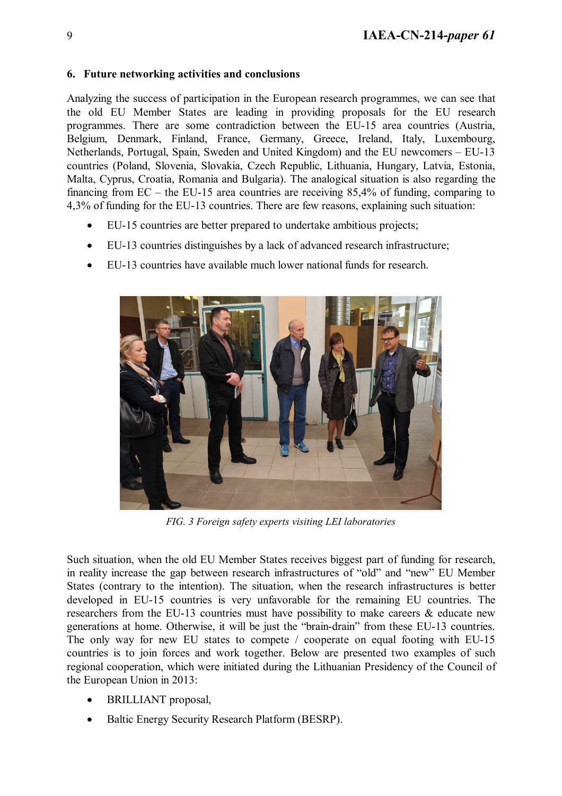### **6. Future networking activities and conclusions**

Analyzing the success of participation in the European research programmes, we can see that the old EU Member States are leading in providing proposals for the EU research programmes. There are some contradiction between the EU-15 area countries (Austria, Belgium, Denmark, Finland, France, Germany, Greece, Ireland, Italy, Luxembourg, Netherlands, Portugal, Spain, Sweden and United Kingdom) and the EU newcomers – EU-13 countries (Poland, Slovenia, Slovakia, Czech Republic, Lithuania, Hungary, Latvia, Estonia, Malta, Cyprus, Croatia, Romania and Bulgaria). The analogical situation is also regarding the financing from EC – the EU-15 area countries are receiving 85,4% of funding, comparing to 4,3% of funding for the EU-13 countries. There are few reasons, explaining such situation:

- EU-15 countries are better prepared to undertake ambitious projects;
- EU-13 countries distinguishes by a lack of advanced research infrastructure;
- EU-13 countries have available much lower national funds for research.



*FIG. 3 Foreign safety experts visiting LEI laboratories* 

Such situation, when the old EU Member States receives biggest part of funding for research, in reality increase the gap between research infrastructures of "old" and "new" EU Member States (contrary to the intention). The situation, when the research infrastructures is better developed in EU-15 countries is very unfavorable for the remaining EU countries. The researchers from the EU-13 countries must have possibility to make careers  $\&$  educate new generations at home. Otherwise, it will be just the "brain-drain" from these EU-13 countries. The only way for new EU states to compete / cooperate on equal footing with EU-15 countries is to join forces and work together. Below are presented two examples of such regional cooperation, which were initiated during the Lithuanian Presidency of the Council of the European Union in 2013:

- BRILLIANT proposal,
- Baltic Energy Security Research Platform (BESRP).